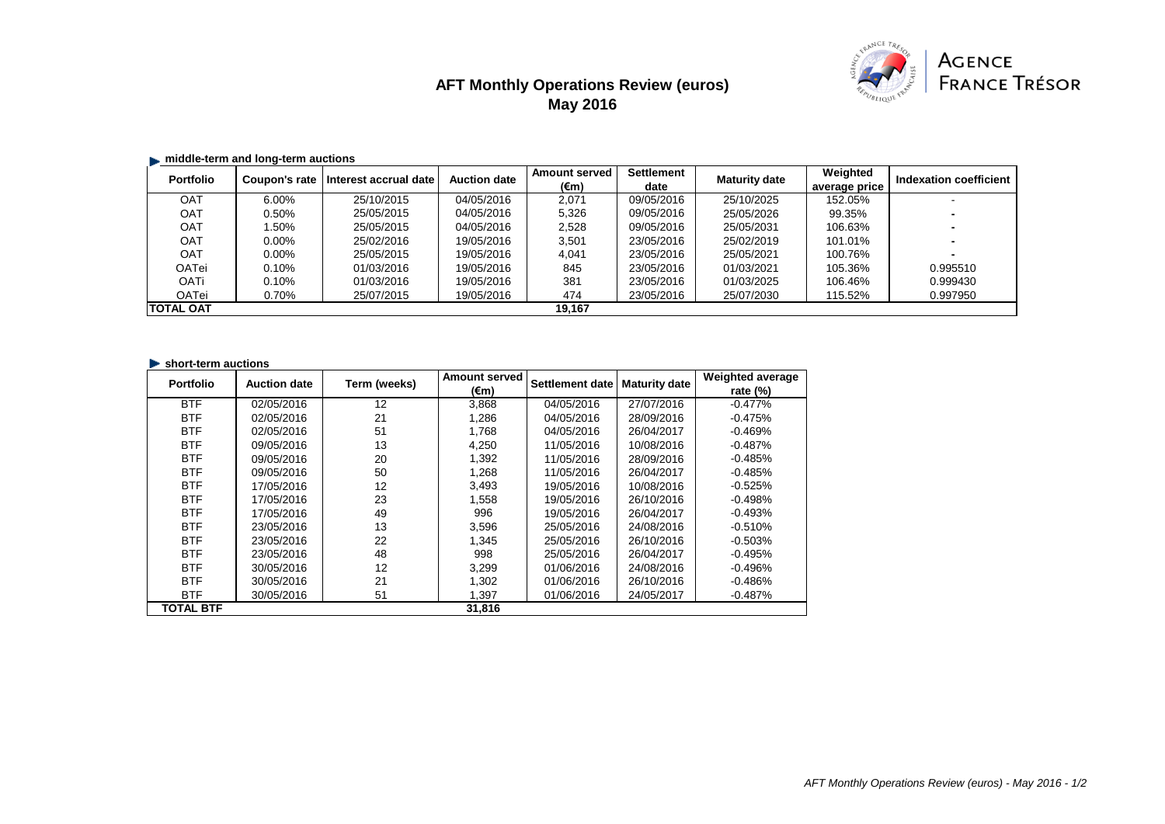# **AFT Monthly Operations Review (euros) May 2016**



## **E.** middle-term and long-term auctions

| <b>Portfolio</b> | Coupon's rate | Interest accrual date | <b>Auction date</b> | <b>Amount served</b> | <b>Settlement</b> | <b>Maturity date</b> | Weighted      | Indexation coefficient |
|------------------|---------------|-----------------------|---------------------|----------------------|-------------------|----------------------|---------------|------------------------|
|                  |               |                       |                     | (€m)                 | date              |                      | average price |                        |
| <b>OAT</b>       | $6.00\%$      | 25/10/2015            | 04/05/2016          | 2.071                | 09/05/2016        | 25/10/2025           | 152.05%       |                        |
| OAT              | 0.50%         | 25/05/2015            | 04/05/2016          | 5,326                | 09/05/2016        | 25/05/2026           | 99.35%        |                        |
| <b>OAT</b>       | .50%          | 25/05/2015            | 04/05/2016          | 2,528                | 09/05/2016        | 25/05/2031           | 106.63%       |                        |
| OAT              | $0.00\%$      | 25/02/2016            | 19/05/2016          | 3.501                | 23/05/2016        | 25/02/2019           | 101.01%       |                        |
| <b>OAT</b>       | $0.00\%$      | 25/05/2015            | 19/05/2016          | 4.041                | 23/05/2016        | 25/05/2021           | 100.76%       |                        |
| OATei            | 0.10%         | 01/03/2016            | 19/05/2016          | 845                  | 23/05/2016        | 01/03/2021           | 105.36%       | 0.995510               |
| <b>OATi</b>      | 0.10%         | 01/03/2016            | 19/05/2016          | 381                  | 23/05/2016        | 01/03/2025           | 106.46%       | 0.999430               |
| OATei            | 0.70%         | 25/07/2015            | 19/05/2016          | 474                  | 23/05/2016        | 25/07/2030           | 115.52%       | 0.997950               |
| <b>TOTAL OAT</b> |               |                       |                     | 19.167               |                   |                      |               |                        |

#### **Short-term auctions**

| <b>Portfolio</b> | <b>Auction date</b> | Term (weeks) | <b>Amount served</b> | Settlement date | <b>Maturity date</b> | <b>Weighted average</b> |
|------------------|---------------------|--------------|----------------------|-----------------|----------------------|-------------------------|
|                  |                     |              | (€m)                 |                 |                      | rate $(\%)$             |
| <b>BTF</b>       | 02/05/2016          | 12           | 3,868                | 04/05/2016      | 27/07/2016           | $-0.477%$               |
| <b>BTF</b>       | 02/05/2016          | 21           | 1.286                | 04/05/2016      | 28/09/2016           | $-0.475%$               |
| <b>BTF</b>       | 02/05/2016          | 51           | 1.768                | 04/05/2016      | 26/04/2017           | $-0.469%$               |
| <b>BTF</b>       | 09/05/2016          | 13           | 4,250                | 11/05/2016      | 10/08/2016           | -0.487%                 |
| <b>BTF</b>       | 09/05/2016          | 20           | 1.392                | 11/05/2016      | 28/09/2016           | $-0.485%$               |
| <b>BTF</b>       | 09/05/2016          | 50           | 1,268                | 11/05/2016      | 26/04/2017           | $-0.485%$               |
| <b>BTF</b>       | 17/05/2016          | 12           | 3,493                | 19/05/2016      | 10/08/2016           | $-0.525%$               |
| <b>BTF</b>       | 17/05/2016          | 23           | 1,558                | 19/05/2016      | 26/10/2016           | $-0.498%$               |
| <b>BTF</b>       | 17/05/2016          | 49           | 996                  | 19/05/2016      | 26/04/2017           | $-0.493%$               |
| <b>BTF</b>       | 23/05/2016          | 13           | 3,596                | 25/05/2016      | 24/08/2016           | $-0.510%$               |
| <b>BTF</b>       | 23/05/2016          | 22           | 1,345                | 25/05/2016      | 26/10/2016           | $-0.503%$               |
| <b>BTF</b>       | 23/05/2016          | 48           | 998                  | 25/05/2016      | 26/04/2017           | $-0.495%$               |
| <b>BTF</b>       | 30/05/2016          | 12           | 3,299                | 01/06/2016      | 24/08/2016           | $-0.496%$               |
| <b>BTF</b>       | 30/05/2016          | 21           | 1.302                | 01/06/2016      | 26/10/2016           | $-0.486%$               |
| <b>BTF</b>       | 30/05/2016          | 51           | 1,397                | 01/06/2016      | 24/05/2017           | $-0.487%$               |
| <b>TOTAL BTF</b> |                     |              | 31,816               |                 |                      |                         |